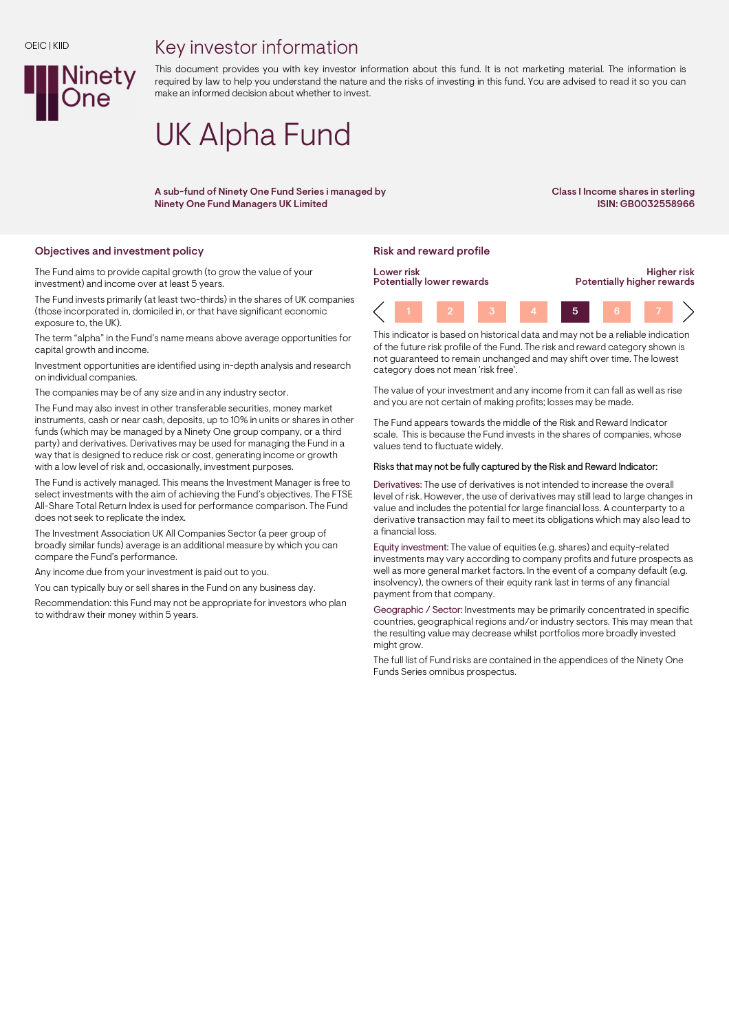#### OEIC | KIID

## Key investor information



This document provides you with key investor information about this fund. It is not marketing material. The information is required by law to help you understand the nature and the risks of investing in this fund. You are advised to read it so you can make an informed decision about whether to invest.

# UK Alpha Fund

A sub-fund of Ninety One Fund Series i managed by Ninety One Fund Managers UK Limited

Class I Income shares in sterling ISIN: GB0032558966

## Objectives and investment policy **Risk and reward profile** Risk and reward profile

The Fund aims to provide capital growth (to grow the value of your investment) and income over at least 5 years.

The Fund invests primarily (at least two-thirds) in the shares of UK companies (those incorporated in, domiciled in, or that have significant economic exposure to, the UK).

The term "alpha" in the Fund's name means above average opportunities for capital growth and income.

Investment opportunities are identified using in-depth analysis and research on individual companies.

The companies may be of any size and in any industry sector.

The Fund may also invest in other transferable securities, money market instruments, cash or near cash, deposits, up to 10% in units or shares in other funds (which may be managed by a Ninety One group company, or a third party) and derivatives. Derivatives may be used for managing the Fund in a way that is designed to reduce risk or cost, generating income or growth with a low level of risk and, occasionally, investment purposes.

The Fund is actively managed. This means the Investment Manager is free to select investments with the aim of achieving the Fund's objectives. The FTSE All-Share Total Return Index is used for performance comparison. The Fund does not seek to replicate the index.

The Investment Association UK All Companies Sector (a peer group of broadly similar funds) average is an additional measure by which you can compare the Fund's performance.

Any income due from your investment is paid out to you.

You can typically buy or sell shares in the Fund on any business day.

Recommendation: this Fund may not be appropriate for investors who plan to withdraw their money within 5 years.



This indicator is based on historical data and may not be a reliable indication of the future risk profile of the Fund. The risk and reward category shown is not guaranteed to remain unchanged and may shift over time. The lowest category does not mean 'risk free'.

The value of your investment and any income from it can fall as well as rise and you are not certain of making profits; losses may be made.

The Fund appears towards the middle of the Risk and Reward Indicator scale. This is because the Fund invests in the shares of companies, whose values tend to fluctuate widely.

#### Risks that may not be fully captured by the Risk and Reward Indicator:

Derivatives: The use of derivatives is not intended to increase the overall level of risk. However, the use of derivatives may still lead to large changes in value and includes the potential for large financial loss. A counterparty to a derivative transaction may fail to meet its obligations which may also lead to a financial loss.

Equity investment: The value of equities (e.g. shares) and equity-related investments may vary according to company profits and future prospects as well as more general market factors. In the event of a company default (e.g. insolvency), the owners of their equity rank last in terms of any financial payment from that company.

Geographic / Sector: Investments may be primarily concentrated in specific countries, geographical regions and/or industry sectors. This may mean that the resulting value may decrease whilst portfolios more broadly invested might grow.

The full list of Fund risks are contained in the appendices of the Ninety One Funds Series omnibus prospectus.